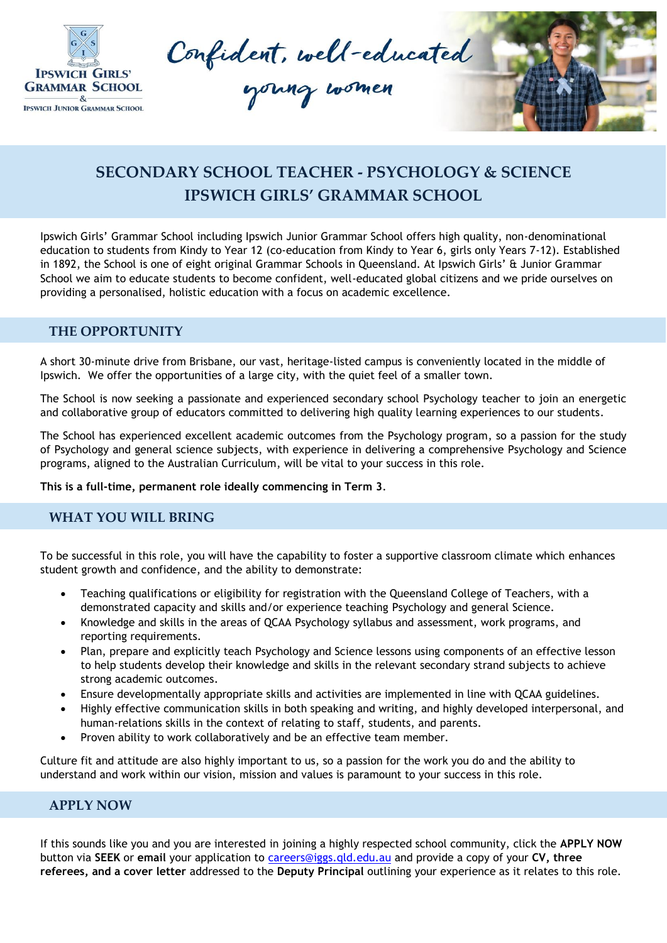

Confident, well-educated



## **SECONDARY SCHOOL TEACHER - PSYCHOLOGY & SCIENCE IPSWICH GIRLS' GRAMMAR SCHOOL**

Ipswich Girls' Grammar School including Ipswich Junior Grammar School offers high quality, non-denominational education to students from Kindy to Year 12 (co-education from Kindy to Year 6, girls only Years 7-12). Established in 1892, the School is one of eight original Grammar Schools in Queensland. At Ipswich Girls' & Junior Grammar School we aim to educate students to become confident, well-educated global citizens and we pride ourselves on providing a personalised, holistic education with a focus on academic excellence.

## **THE OPPORTUNITY**

A short 30-minute drive from Brisbane, our vast, heritage-listed campus is conveniently located in the middle of Ipswich. We offer the opportunities of a large city, with the quiet feel of a smaller town.

The School is now seeking a passionate and experienced secondary school Psychology teacher to join an energetic and collaborative group of educators committed to delivering high quality learning experiences to our students.

The School has experienced excellent academic outcomes from the Psychology program, so a passion for the study of Psychology and general science subjects, with experience in delivering a comprehensive Psychology and Science programs, aligned to the Australian Curriculum, will be vital to your success in this role.

**This is a full-time, permanent role ideally commencing in Term 3**.

## **WHAT YOU WILL BRING**

To be successful in this role, you will have the capability to foster a supportive classroom climate which enhances student growth and confidence, and the ability to demonstrate:

- Teaching qualifications or eligibility for registration with the Queensland College of Teachers, with a demonstrated capacity and skills and/or experience teaching Psychology and general Science.
- Knowledge and skills in the areas of QCAA Psychology syllabus and assessment, work programs, and reporting requirements.
- Plan, prepare and explicitly teach Psychology and Science lessons using components of an effective lesson to help students develop their knowledge and skills in the relevant secondary strand subjects to achieve strong academic outcomes.
- Ensure developmentally appropriate skills and activities are implemented in line with QCAA guidelines.
- Highly effective communication skills in both speaking and writing, and highly developed interpersonal, and human-relations skills in the context of relating to staff, students, and parents.
- Proven ability to work collaboratively and be an effective team member.

Culture fit and attitude are also highly important to us, so a passion for the work you do and the ability to understand and work within our vision, mission and values is paramount to your success in this role.

## **APPLY NOW**

If this sounds like you and you are interested in joining a highly respected school community, click the **APPLY NOW** button via **SEEK** or **email** your application to [careers@iggs.qld.edu.au](mailto:careers@iggs.qld.edu.au) and provide a copy of your **CV, three referees, and a cover letter** addressed to the **Deputy Principal** outlining your experience as it relates to this role.